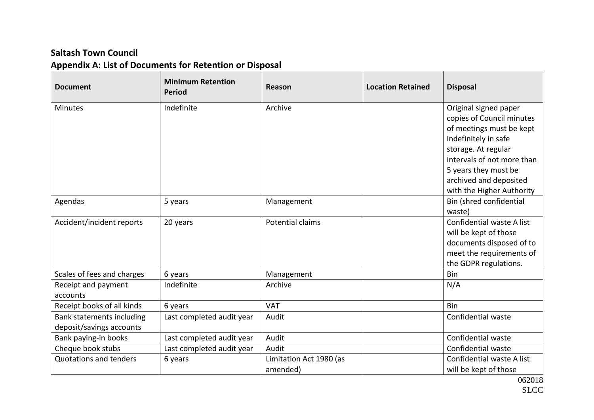## **Saltash Town Council Appendix A: List of Documents for Retention or Disposal**

| <b>Document</b>               | <b>Minimum Retention</b><br><b>Period</b> | Reason                  | <b>Location Retained</b> | <b>Disposal</b>            |
|-------------------------------|-------------------------------------------|-------------------------|--------------------------|----------------------------|
| <b>Minutes</b>                | Indefinite                                | Archive                 |                          | Original signed paper      |
|                               |                                           |                         |                          | copies of Council minutes  |
|                               |                                           |                         |                          | of meetings must be kept   |
|                               |                                           |                         |                          | indefinitely in safe       |
|                               |                                           |                         |                          | storage. At regular        |
|                               |                                           |                         |                          | intervals of not more than |
|                               |                                           |                         |                          | 5 years they must be       |
|                               |                                           |                         |                          | archived and deposited     |
|                               |                                           |                         |                          | with the Higher Authority  |
| Agendas                       | 5 years                                   | Management              |                          | Bin (shred confidential    |
|                               |                                           |                         |                          | waste)                     |
| Accident/incident reports     | 20 years                                  | Potential claims        |                          | Confidential waste A list  |
|                               |                                           |                         |                          | will be kept of those      |
|                               |                                           |                         |                          | documents disposed of to   |
|                               |                                           |                         |                          | meet the requirements of   |
|                               |                                           |                         |                          | the GDPR regulations.      |
| Scales of fees and charges    | 6 years                                   | Management              |                          | <b>Bin</b>                 |
| Receipt and payment           | Indefinite                                | Archive                 |                          | N/A                        |
| accounts                      |                                           |                         |                          |                            |
| Receipt books of all kinds    | 6 years                                   | <b>VAT</b>              |                          | <b>Bin</b>                 |
| Bank statements including     | Last completed audit year                 | Audit                   |                          | Confidential waste         |
| deposit/savings accounts      |                                           |                         |                          |                            |
| Bank paying-in books          | Last completed audit year                 | Audit                   |                          | Confidential waste         |
| Cheque book stubs             | Last completed audit year                 | Audit                   |                          | Confidential waste         |
| <b>Quotations and tenders</b> | 6 years                                   | Limitation Act 1980 (as |                          | Confidential waste A list  |
|                               |                                           | amended)                |                          | will be kept of those      |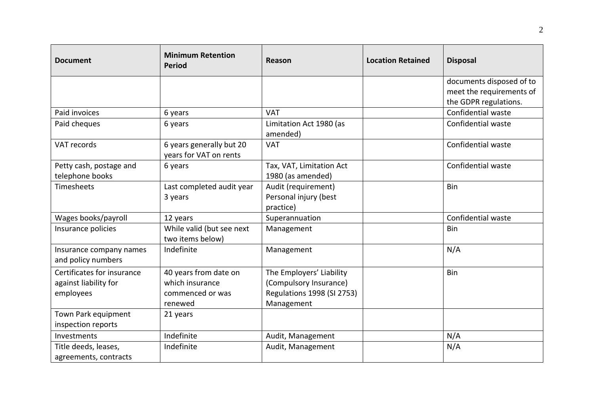| <b>Document</b>                                                  | <b>Minimum Retention</b><br><b>Period</b>                               | Reason                                                                                         | <b>Location Retained</b> | <b>Disposal</b>                                                               |
|------------------------------------------------------------------|-------------------------------------------------------------------------|------------------------------------------------------------------------------------------------|--------------------------|-------------------------------------------------------------------------------|
|                                                                  |                                                                         |                                                                                                |                          | documents disposed of to<br>meet the requirements of<br>the GDPR regulations. |
| Paid invoices                                                    | 6 years                                                                 | <b>VAT</b>                                                                                     |                          | Confidential waste                                                            |
| Paid cheques                                                     | 6 years                                                                 | Limitation Act 1980 (as<br>amended)                                                            |                          | Confidential waste                                                            |
| VAT records                                                      | 6 years generally but 20<br>years for VAT on rents                      | <b>VAT</b>                                                                                     |                          | Confidential waste                                                            |
| Petty cash, postage and<br>telephone books                       | 6 years                                                                 | Tax, VAT, Limitation Act<br>1980 (as amended)                                                  |                          | Confidential waste                                                            |
| Timesheets                                                       | Last completed audit year<br>3 years                                    | Audit (requirement)<br>Personal injury (best<br>practice)                                      |                          | <b>Bin</b>                                                                    |
| Wages books/payroll                                              | 12 years                                                                | Superannuation                                                                                 |                          | Confidential waste                                                            |
| Insurance policies                                               | While valid (but see next<br>two items below)                           | Management                                                                                     |                          | Bin                                                                           |
| Insurance company names<br>and policy numbers                    | Indefinite                                                              | Management                                                                                     |                          | N/A                                                                           |
| Certificates for insurance<br>against liability for<br>employees | 40 years from date on<br>which insurance<br>commenced or was<br>renewed | The Employers' Liability<br>(Compulsory Insurance)<br>Regulations 1998 (SI 2753)<br>Management |                          | <b>Bin</b>                                                                    |
| Town Park equipment<br>inspection reports                        | 21 years                                                                |                                                                                                |                          |                                                                               |
| Investments                                                      | Indefinite                                                              | Audit, Management                                                                              |                          | N/A                                                                           |
| Title deeds, leases,<br>agreements, contracts                    | Indefinite                                                              | Audit, Management                                                                              |                          | N/A                                                                           |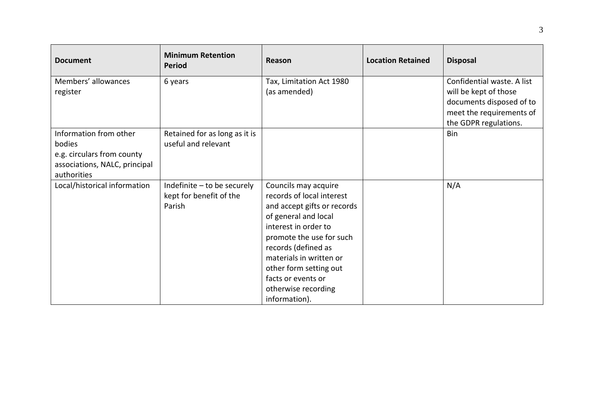| <b>Document</b>                                                                                                                                | <b>Minimum Retention</b><br><b>Period</b>                                                                                | Reason                                                                                                                                                                                                                                                                                                 | <b>Location Retained</b> | <b>Disposal</b>                                                                             |
|------------------------------------------------------------------------------------------------------------------------------------------------|--------------------------------------------------------------------------------------------------------------------------|--------------------------------------------------------------------------------------------------------------------------------------------------------------------------------------------------------------------------------------------------------------------------------------------------------|--------------------------|---------------------------------------------------------------------------------------------|
| Members' allowances                                                                                                                            | 6 years                                                                                                                  | Tax, Limitation Act 1980                                                                                                                                                                                                                                                                               |                          | Confidential waste. A list                                                                  |
| register                                                                                                                                       |                                                                                                                          | (as amended)                                                                                                                                                                                                                                                                                           |                          | will be kept of those                                                                       |
|                                                                                                                                                |                                                                                                                          |                                                                                                                                                                                                                                                                                                        |                          |                                                                                             |
|                                                                                                                                                |                                                                                                                          |                                                                                                                                                                                                                                                                                                        |                          |                                                                                             |
|                                                                                                                                                |                                                                                                                          |                                                                                                                                                                                                                                                                                                        |                          |                                                                                             |
|                                                                                                                                                |                                                                                                                          |                                                                                                                                                                                                                                                                                                        |                          |                                                                                             |
|                                                                                                                                                |                                                                                                                          |                                                                                                                                                                                                                                                                                                        |                          |                                                                                             |
|                                                                                                                                                |                                                                                                                          |                                                                                                                                                                                                                                                                                                        |                          |                                                                                             |
|                                                                                                                                                |                                                                                                                          |                                                                                                                                                                                                                                                                                                        |                          |                                                                                             |
|                                                                                                                                                |                                                                                                                          |                                                                                                                                                                                                                                                                                                        |                          |                                                                                             |
|                                                                                                                                                |                                                                                                                          |                                                                                                                                                                                                                                                                                                        |                          |                                                                                             |
|                                                                                                                                                |                                                                                                                          |                                                                                                                                                                                                                                                                                                        |                          |                                                                                             |
|                                                                                                                                                |                                                                                                                          |                                                                                                                                                                                                                                                                                                        |                          |                                                                                             |
|                                                                                                                                                |                                                                                                                          |                                                                                                                                                                                                                                                                                                        |                          |                                                                                             |
|                                                                                                                                                |                                                                                                                          |                                                                                                                                                                                                                                                                                                        |                          |                                                                                             |
|                                                                                                                                                |                                                                                                                          |                                                                                                                                                                                                                                                                                                        |                          |                                                                                             |
|                                                                                                                                                |                                                                                                                          |                                                                                                                                                                                                                                                                                                        |                          |                                                                                             |
|                                                                                                                                                |                                                                                                                          |                                                                                                                                                                                                                                                                                                        |                          |                                                                                             |
|                                                                                                                                                |                                                                                                                          |                                                                                                                                                                                                                                                                                                        |                          |                                                                                             |
|                                                                                                                                                |                                                                                                                          |                                                                                                                                                                                                                                                                                                        |                          |                                                                                             |
|                                                                                                                                                |                                                                                                                          |                                                                                                                                                                                                                                                                                                        |                          |                                                                                             |
| Information from other<br>bodies<br>e.g. circulars from county<br>associations, NALC, principal<br>authorities<br>Local/historical information | Retained for as long as it is<br>useful and relevant<br>Indefinite - to be securely<br>kept for benefit of the<br>Parish | Councils may acquire<br>records of local interest<br>and accept gifts or records<br>of general and local<br>interest in order to<br>promote the use for such<br>records (defined as<br>materials in written or<br>other form setting out<br>facts or events or<br>otherwise recording<br>information). |                          | documents disposed of to<br>meet the requirements of<br>the GDPR regulations.<br>Bin<br>N/A |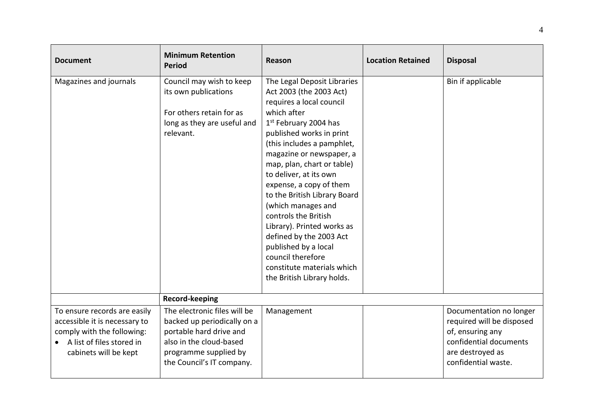| <b>Document</b>                                                                                                                                   | <b>Minimum Retention</b><br><b>Period</b>                                                                                                                               | Reason                                                                                                                                                                                                                                                                                                                                                                                                                                                                                                                                                          | <b>Location Retained</b> | <b>Disposal</b>                                                                                                                               |
|---------------------------------------------------------------------------------------------------------------------------------------------------|-------------------------------------------------------------------------------------------------------------------------------------------------------------------------|-----------------------------------------------------------------------------------------------------------------------------------------------------------------------------------------------------------------------------------------------------------------------------------------------------------------------------------------------------------------------------------------------------------------------------------------------------------------------------------------------------------------------------------------------------------------|--------------------------|-----------------------------------------------------------------------------------------------------------------------------------------------|
| Magazines and journals                                                                                                                            | Council may wish to keep<br>its own publications<br>For others retain for as<br>long as they are useful and<br>relevant.                                                | The Legal Deposit Libraries<br>Act 2003 (the 2003 Act)<br>requires a local council<br>which after<br>1 <sup>st</sup> February 2004 has<br>published works in print<br>(this includes a pamphlet,<br>magazine or newspaper, a<br>map, plan, chart or table)<br>to deliver, at its own<br>expense, a copy of them<br>to the British Library Board<br>(which manages and<br>controls the British<br>Library). Printed works as<br>defined by the 2003 Act<br>published by a local<br>council therefore<br>constitute materials which<br>the British Library holds. |                          | Bin if applicable                                                                                                                             |
|                                                                                                                                                   | Record-keeping                                                                                                                                                          |                                                                                                                                                                                                                                                                                                                                                                                                                                                                                                                                                                 |                          |                                                                                                                                               |
| To ensure records are easily<br>accessible it is necessary to<br>comply with the following:<br>A list of files stored in<br>cabinets will be kept | The electronic files will be<br>backed up periodically on a<br>portable hard drive and<br>also in the cloud-based<br>programme supplied by<br>the Council's IT company. | Management                                                                                                                                                                                                                                                                                                                                                                                                                                                                                                                                                      |                          | Documentation no longer<br>required will be disposed<br>of, ensuring any<br>confidential documents<br>are destroyed as<br>confidential waste. |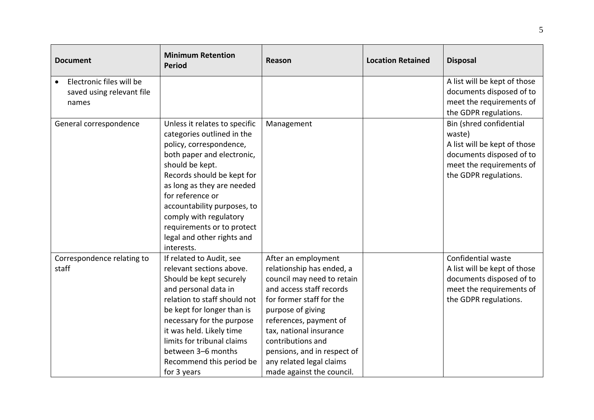| <b>Document</b>            | <b>Minimum Retention</b><br><b>Period</b> | Reason                      | <b>Location Retained</b> | <b>Disposal</b>              |
|----------------------------|-------------------------------------------|-----------------------------|--------------------------|------------------------------|
| Electronic files will be   |                                           |                             |                          | A list will be kept of those |
| saved using relevant file  |                                           |                             |                          | documents disposed of to     |
| names                      |                                           |                             |                          | meet the requirements of     |
|                            |                                           |                             |                          | the GDPR regulations.        |
| General correspondence     | Unless it relates to specific             | Management                  |                          | Bin (shred confidential      |
|                            | categories outlined in the                |                             |                          | waste)                       |
|                            | policy, correspondence,                   |                             |                          | A list will be kept of those |
|                            | both paper and electronic,                |                             |                          | documents disposed of to     |
|                            | should be kept.                           |                             |                          | meet the requirements of     |
|                            | Records should be kept for                |                             |                          | the GDPR regulations.        |
|                            | as long as they are needed                |                             |                          |                              |
|                            | for reference or                          |                             |                          |                              |
|                            | accountability purposes, to               |                             |                          |                              |
|                            | comply with regulatory                    |                             |                          |                              |
|                            | requirements or to protect                |                             |                          |                              |
|                            | legal and other rights and                |                             |                          |                              |
|                            | interests.                                |                             |                          |                              |
| Correspondence relating to | If related to Audit, see                  | After an employment         |                          | Confidential waste           |
| staff                      | relevant sections above.                  | relationship has ended, a   |                          | A list will be kept of those |
|                            | Should be kept securely                   | council may need to retain  |                          | documents disposed of to     |
|                            | and personal data in                      | and access staff records    |                          | meet the requirements of     |
|                            | relation to staff should not              | for former staff for the    |                          | the GDPR regulations.        |
|                            | be kept for longer than is                | purpose of giving           |                          |                              |
|                            | necessary for the purpose                 | references, payment of      |                          |                              |
|                            | it was held. Likely time                  | tax, national insurance     |                          |                              |
|                            | limits for tribunal claims                | contributions and           |                          |                              |
|                            | between 3-6 months                        | pensions, and in respect of |                          |                              |
|                            | Recommend this period be                  | any related legal claims    |                          |                              |
|                            | for 3 years                               | made against the council.   |                          |                              |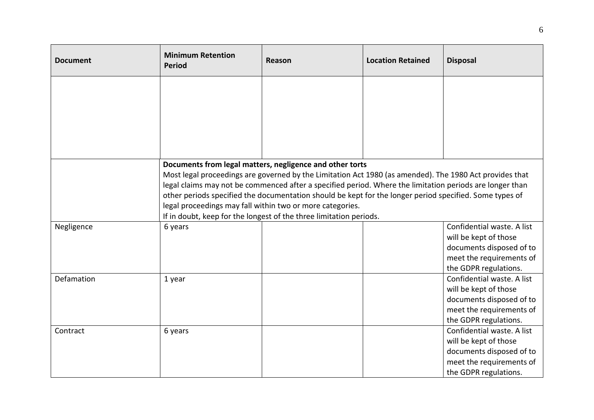| <b>Document</b> | <b>Minimum Retention</b><br><b>Period</b>                                                                                                                                                                                                                                                                                                                                                  | Reason                                                                                           | <b>Location Retained</b> | <b>Disposal</b>            |  |
|-----------------|--------------------------------------------------------------------------------------------------------------------------------------------------------------------------------------------------------------------------------------------------------------------------------------------------------------------------------------------------------------------------------------------|--------------------------------------------------------------------------------------------------|--------------------------|----------------------------|--|
|                 |                                                                                                                                                                                                                                                                                                                                                                                            |                                                                                                  |                          |                            |  |
|                 |                                                                                                                                                                                                                                                                                                                                                                                            |                                                                                                  |                          |                            |  |
|                 |                                                                                                                                                                                                                                                                                                                                                                                            |                                                                                                  |                          |                            |  |
|                 |                                                                                                                                                                                                                                                                                                                                                                                            |                                                                                                  |                          |                            |  |
|                 |                                                                                                                                                                                                                                                                                                                                                                                            |                                                                                                  |                          |                            |  |
|                 | Documents from legal matters, negligence and other torts<br>Most legal proceedings are governed by the Limitation Act 1980 (as amended). The 1980 Act provides that<br>legal claims may not be commenced after a specified period. Where the limitation periods are longer than<br>other periods specified the documentation should be kept for the longer period specified. Some types of |                                                                                                  |                          |                            |  |
|                 | legal proceedings may fall within two or more categories.                                                                                                                                                                                                                                                                                                                                  |                                                                                                  |                          |                            |  |
|                 |                                                                                                                                                                                                                                                                                                                                                                                            | If in doubt, keep for the longest of the three limitation periods.<br>Confidential waste. A list |                          |                            |  |
| Negligence      | 6 years                                                                                                                                                                                                                                                                                                                                                                                    |                                                                                                  |                          | will be kept of those      |  |
|                 |                                                                                                                                                                                                                                                                                                                                                                                            |                                                                                                  |                          | documents disposed of to   |  |
|                 |                                                                                                                                                                                                                                                                                                                                                                                            |                                                                                                  |                          | meet the requirements of   |  |
|                 |                                                                                                                                                                                                                                                                                                                                                                                            |                                                                                                  |                          | the GDPR regulations.      |  |
| Defamation      | 1 year                                                                                                                                                                                                                                                                                                                                                                                     |                                                                                                  |                          | Confidential waste. A list |  |
|                 |                                                                                                                                                                                                                                                                                                                                                                                            |                                                                                                  |                          | will be kept of those      |  |
|                 |                                                                                                                                                                                                                                                                                                                                                                                            |                                                                                                  |                          | documents disposed of to   |  |
|                 |                                                                                                                                                                                                                                                                                                                                                                                            |                                                                                                  |                          | meet the requirements of   |  |
|                 |                                                                                                                                                                                                                                                                                                                                                                                            |                                                                                                  |                          | the GDPR regulations.      |  |
| Contract        | 6 years                                                                                                                                                                                                                                                                                                                                                                                    |                                                                                                  |                          | Confidential waste. A list |  |
|                 |                                                                                                                                                                                                                                                                                                                                                                                            |                                                                                                  |                          | will be kept of those      |  |
|                 |                                                                                                                                                                                                                                                                                                                                                                                            |                                                                                                  |                          | documents disposed of to   |  |
|                 |                                                                                                                                                                                                                                                                                                                                                                                            |                                                                                                  |                          | meet the requirements of   |  |
|                 |                                                                                                                                                                                                                                                                                                                                                                                            |                                                                                                  |                          | the GDPR regulations.      |  |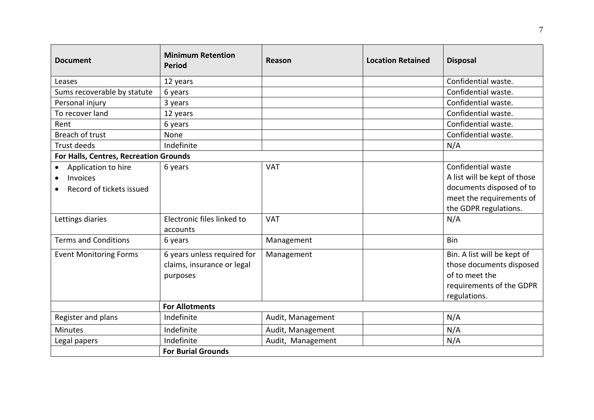| <b>Document</b>                                                          | <b>Minimum Retention</b><br><b>Period</b>                             | Reason            | <b>Location Retained</b> | <b>Disposal</b>                                                                                                                     |
|--------------------------------------------------------------------------|-----------------------------------------------------------------------|-------------------|--------------------------|-------------------------------------------------------------------------------------------------------------------------------------|
| Leases                                                                   | 12 years                                                              |                   |                          | Confidential waste.                                                                                                                 |
| Sums recoverable by statute                                              | 6 years                                                               |                   |                          | Confidential waste.                                                                                                                 |
| Personal injury                                                          | 3 years                                                               |                   |                          | Confidential waste.                                                                                                                 |
| To recover land                                                          | 12 years                                                              |                   |                          | Confidential waste.                                                                                                                 |
| Rent                                                                     | 6 years                                                               |                   |                          | Confidential waste.                                                                                                                 |
| Breach of trust                                                          | None                                                                  |                   |                          | Confidential waste.                                                                                                                 |
| Trust deeds                                                              | Indefinite                                                            |                   |                          | N/A                                                                                                                                 |
| For Halls, Centres, Recreation Grounds                                   |                                                                       |                   |                          |                                                                                                                                     |
| Application to hire<br>$\bullet$<br>Invoices<br>Record of tickets issued | 6 years                                                               | <b>VAT</b>        |                          | Confidential waste<br>A list will be kept of those<br>documents disposed of to<br>meet the requirements of<br>the GDPR regulations. |
| Lettings diaries                                                         | Electronic files linked to<br>accounts                                | <b>VAT</b>        |                          | N/A                                                                                                                                 |
| <b>Terms and Conditions</b>                                              | 6 years                                                               | Management        |                          | Bin                                                                                                                                 |
| <b>Event Monitoring Forms</b>                                            | 6 years unless required for<br>claims, insurance or legal<br>purposes | Management        |                          | Bin. A list will be kept of<br>those documents disposed<br>of to meet the<br>requirements of the GDPR<br>regulations.               |
|                                                                          | <b>For Allotments</b>                                                 |                   |                          |                                                                                                                                     |
| Register and plans                                                       | Indefinite                                                            | Audit, Management |                          | N/A                                                                                                                                 |
| <b>Minutes</b>                                                           | Indefinite                                                            | Audit, Management |                          | N/A                                                                                                                                 |
| Legal papers                                                             | Indefinite                                                            | Audit, Management |                          | N/A                                                                                                                                 |
|                                                                          | <b>For Burial Grounds</b>                                             |                   |                          |                                                                                                                                     |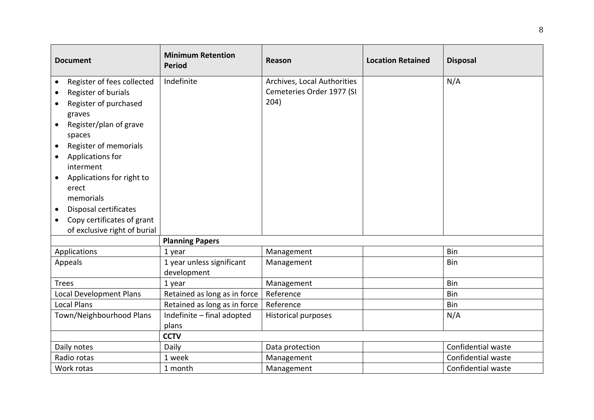| <b>Document</b>                         | <b>Minimum Retention</b><br><b>Period</b> | Reason                      | <b>Location Retained</b> | <b>Disposal</b>    |
|-----------------------------------------|-------------------------------------------|-----------------------------|--------------------------|--------------------|
| Register of fees collected<br>$\bullet$ | Indefinite                                | Archives, Local Authorities |                          | N/A                |
| Register of burials                     |                                           | Cemeteries Order 1977 (SI   |                          |                    |
| Register of purchased<br>$\bullet$      |                                           | 204)                        |                          |                    |
| graves                                  |                                           |                             |                          |                    |
| Register/plan of grave<br>$\bullet$     |                                           |                             |                          |                    |
| spaces                                  |                                           |                             |                          |                    |
| Register of memorials<br>$\bullet$      |                                           |                             |                          |                    |
| Applications for                        |                                           |                             |                          |                    |
| interment                               |                                           |                             |                          |                    |
| Applications for right to<br>$\bullet$  |                                           |                             |                          |                    |
| erect                                   |                                           |                             |                          |                    |
| memorials                               |                                           |                             |                          |                    |
| Disposal certificates<br>$\bullet$      |                                           |                             |                          |                    |
| Copy certificates of grant<br>$\bullet$ |                                           |                             |                          |                    |
| of exclusive right of burial            |                                           |                             |                          |                    |
|                                         | <b>Planning Papers</b>                    |                             |                          |                    |
| Applications                            | 1 year                                    | Management                  |                          | Bin                |
| Appeals                                 | 1 year unless significant                 | Management                  |                          | <b>Bin</b>         |
|                                         | development                               |                             |                          |                    |
| <b>Trees</b>                            | 1 year                                    | Management                  |                          | Bin                |
| Local Development Plans                 | Retained as long as in force              | Reference                   |                          | Bin                |
| <b>Local Plans</b>                      | Retained as long as in force              | Reference                   |                          | Bin                |
| Town/Neighbourhood Plans                | Indefinite - final adopted                | Historical purposes         |                          | N/A                |
|                                         | plans                                     |                             |                          |                    |
|                                         | <b>CCTV</b>                               |                             |                          |                    |
| Daily notes                             | Daily                                     | Data protection             |                          | Confidential waste |
| Radio rotas                             | 1 week                                    | Management                  |                          | Confidential waste |
| Work rotas                              | 1 month                                   | Management                  |                          | Confidential waste |